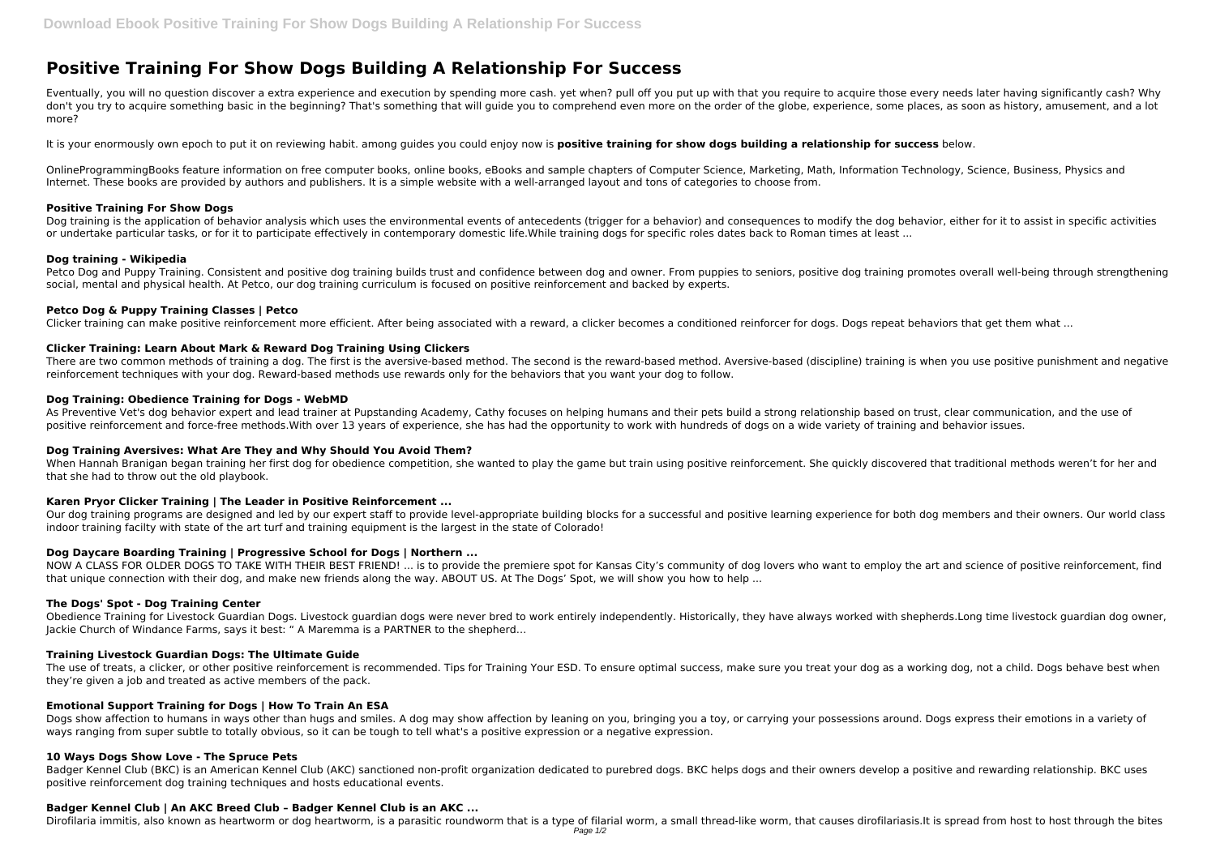# **Positive Training For Show Dogs Building A Relationship For Success**

Eventually, you will no question discover a extra experience and execution by spending more cash. yet when? pull off you put up with that you require to acquire those every needs later having significantly cash? Why don't you try to acquire something basic in the beginning? That's something that will guide you to comprehend even more on the order of the globe, experience, some places, as soon as history, amusement, and a lot more?

It is your enormously own epoch to put it on reviewing habit. among guides you could enjoy now is **positive training for show dogs building a relationship for success** below.

OnlineProgrammingBooks feature information on free computer books, online books, eBooks and sample chapters of Computer Science, Marketing, Math, Information Technology, Science, Business, Physics and Internet. These books are provided by authors and publishers. It is a simple website with a well-arranged layout and tons of categories to choose from.

Petco Dog and Puppy Training. Consistent and positive dog training builds trust and confidence between dog and owner. From puppies to seniors, positive dog training promotes overall well-being through strengthening social, mental and physical health. At Petco, our dog training curriculum is focused on positive reinforcement and backed by experts.

#### **Positive Training For Show Dogs**

Dog training is the application of behavior analysis which uses the environmental events of antecedents (trigger for a behavior) and consequences to modify the dog behavior, either for it to assist in specific activities or undertake particular tasks, or for it to participate effectively in contemporary domestic life.While training dogs for specific roles dates back to Roman times at least ...

As Preventive Vet's dog behavior expert and lead trainer at Pupstanding Academy, Cathy focuses on helping humans and their pets build a strong relationship based on trust, clear communication, and the use of positive reinforcement and force-free methods.With over 13 years of experience, she has had the opportunity to work with hundreds of dogs on a wide variety of training and behavior issues.

## **Dog training - Wikipedia**

When Hannah Branigan began training her first dog for obedience competition, she wanted to play the game but train using positive reinforcement. She quickly discovered that traditional methods weren't for her and that she had to throw out the old playbook.

Our dog training programs are designed and led by our expert staff to provide level-appropriate building blocks for a successful and positive learning experience for both dog members and their owners. Our world class indoor training facilty with state of the art turf and training equipment is the largest in the state of Colorado!

## **Petco Dog & Puppy Training Classes | Petco**

Clicker training can make positive reinforcement more efficient. After being associated with a reward, a clicker becomes a conditioned reinforcer for dogs. Dogs repeat behaviors that get them what ...

NOW A CLASS FOR OLDER DOGS TO TAKE WITH THEIR BEST FRIEND! ... is to provide the premiere spot for Kansas City's community of dog lovers who want to employ the art and science of positive reinforcement, find that unique connection with their dog, and make new friends along the way. ABOUT US. At The Dogs' Spot, we will show you how to help ...

## **Clicker Training: Learn About Mark & Reward Dog Training Using Clickers**

There are two common methods of training a dog. The first is the aversive-based method. The second is the reward-based method. Aversive-based (discipline) training is when you use positive punishment and negative reinforcement techniques with your dog. Reward-based methods use rewards only for the behaviors that you want your dog to follow.

The use of treats, a clicker, or other positive reinforcement is recommended. Tips for Training Your ESD. To ensure optimal success, make sure you treat your dog as a working dog, not a child. Dogs behave best when they're given a job and treated as active members of the pack.

## **Dog Training: Obedience Training for Dogs - WebMD**

Dogs show affection to humans in ways other than hugs and smiles. A dog may show affection by leaning on you, bringing you a toy, or carrying your possessions around. Dogs express their emotions in a variety of ways ranging from super subtle to totally obvious, so it can be tough to tell what's a positive expression or a negative expression.

# **Dog Training Aversives: What Are They and Why Should You Avoid Them?**

# **Karen Pryor Clicker Training | The Leader in Positive Reinforcement ...**

# **Dog Daycare Boarding Training | Progressive School for Dogs | Northern ...**

#### **The Dogs' Spot - Dog Training Center**

Obedience Training for Livestock Guardian Dogs. Livestock guardian dogs were never bred to work entirely independently. Historically, they have always worked with shepherds.Long time livestock guardian dog owner, Jackie Church of Windance Farms, says it best: " A Maremma is a PARTNER to the shepherd…

#### **Training Livestock Guardian Dogs: The Ultimate Guide**

# **Emotional Support Training for Dogs | How To Train An ESA**

#### **10 Ways Dogs Show Love - The Spruce Pets**

Badger Kennel Club (BKC) is an American Kennel Club (AKC) sanctioned non-profit organization dedicated to purebred dogs. BKC helps dogs and their owners develop a positive and rewarding relationship. BKC uses positive reinforcement dog training techniques and hosts educational events.

#### **Badger Kennel Club | An AKC Breed Club – Badger Kennel Club is an AKC ...**

Dirofilaria immitis, also known as heartworm or dog heartworm, is a parasitic roundworm that is a type of filarial worm, a small thread-like worm, that causes dirofilariasis.It is spread from host to host through the bites